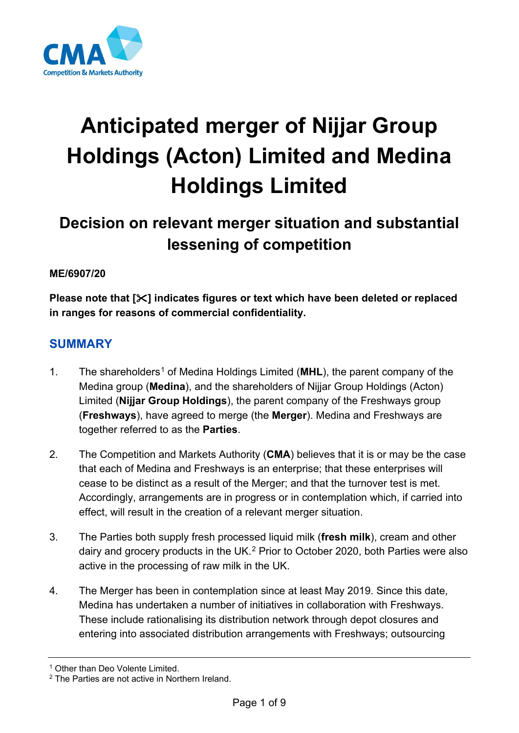

# **Anticipated merger of Nijjar Group Holdings (Acton) Limited and Medina Holdings Limited**

## **Decision on relevant merger situation and substantial lessening of competition**

#### **ME/6907/20**

**Please note that [] indicates figures or text which have been deleted or replaced in ranges for reasons of commercial confidentiality.**

### **SUMMARY**

- [1](#page-0-0). The shareholders<sup>1</sup> of Medina Holdings Limited (MHL), the parent company of the Medina group (**Medina**), and the shareholders of Nijjar Group Holdings (Acton) Limited (**Nijjar Group Holdings**), the parent company of the Freshways group (**Freshways**), have agreed to merge (the **Merger**). Medina and Freshways are together referred to as the **Parties**.
- 2. The Competition and Markets Authority (**CMA**) believes that it is or may be the case that each of Medina and Freshways is an enterprise; that these enterprises will cease to be distinct as a result of the Merger; and that the turnover test is met. Accordingly, arrangements are in progress or in contemplation which, if carried into effect, will result in the creation of a relevant merger situation.
- 3. The Parties both supply fresh processed liquid milk (**fresh milk**), cream and other dairy and grocery products in the UK. [2](#page-0-1) Prior to October 2020, both Parties were also active in the processing of raw milk in the UK.
- 4. The Merger has been in contemplation since at least May 2019. Since this date, Medina has undertaken a number of initiatives in collaboration with Freshways. These include rationalising its distribution network through depot closures and entering into associated distribution arrangements with Freshways; outsourcing

<span id="page-0-0"></span><sup>&</sup>lt;sup>1</sup> Other than Deo Volente Limited.

<span id="page-0-1"></span><sup>2</sup> The Parties are not active in Northern Ireland.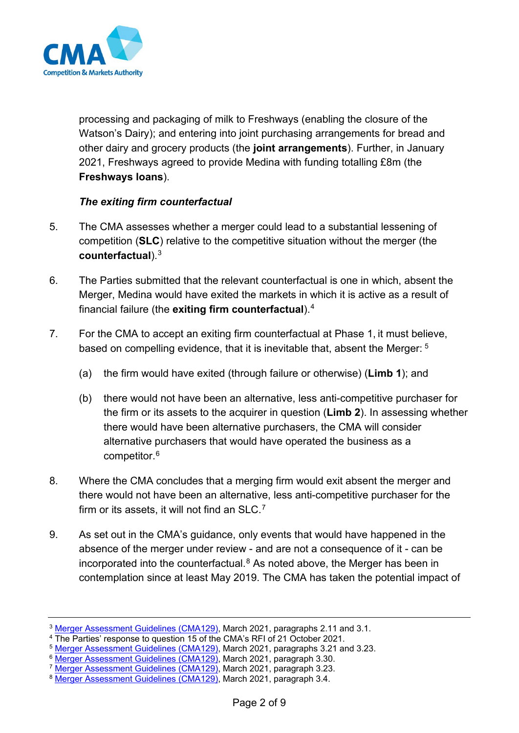

processing and packaging of milk to Freshways (enabling the closure of the Watson's Dairy); and entering into joint purchasing arrangements for bread and other dairy and grocery products (the **joint arrangements**). Further, in January 2021, Freshways agreed to provide Medina with funding totalling £8m (the **Freshways loans**).

#### *The exiting firm counterfactual*

- 5. The CMA assesses whether a merger could lead to a substantial lessening of competition (**SLC**) relative to the competitive situation without the merger (the **counterfactual**).[3](#page-1-0)
- 6. The Parties submitted that the relevant counterfactual is one in which, absent the Merger, Medina would have exited the markets in which it is active as a result of financial failure (the **exiting firm counterfactual**).[4](#page-1-1)
- 7. For the CMA to accept an exiting firm counterfactual at Phase 1, it must believe, based on compelling evidence, that it is inevitable that, absent the Merger: [5](#page-1-2)
	- (a) the firm would have exited (through failure or otherwise) (**Limb 1**); and
	- (b) there would not have been an alternative, less anti-competitive purchaser for the firm or its assets to the acquirer in question (**Limb 2**). In assessing whether there would have been alternative purchasers, the CMA will consider alternative purchasers that would have operated the business as a competitor.[6](#page-1-3)
- 8. Where the CMA concludes that a merging firm would exit absent the merger and there would not have been an alternative, less anti-competitive purchaser for the firm or its assets, it will not find an SLC. $^7$  $^7$
- 9. As set out in the CMA's guidance, only events that would have happened in the absence of the merger under review - and are not a consequence of it - can be incorporated into the counterfactual. [8](#page-1-5) As noted above, the Merger has been in contemplation since at least May 2019. The CMA has taken the potential impact of

<span id="page-1-0"></span><sup>&</sup>lt;sup>3</sup> [Merger Assessment Guidelines \(CMA129\),](https://assets.publishing.service.gov.uk/government/uploads/system/uploads/attachment_data/file/1011836/MAGs_for_publication_2021_--.pdf) March 2021, paragraphs 2.11 and 3.1.

<span id="page-1-1"></span><sup>4</sup> The Parties' response to question 15 of the CMA's RFI of 21 October 2021.

<span id="page-1-2"></span><sup>&</sup>lt;sup>5</sup> [Merger Assessment Guidelines \(CMA129\),](https://assets.publishing.service.gov.uk/government/uploads/system/uploads/attachment_data/file/1011836/MAGs_for_publication_2021_--.pdf) March 2021, paragraphs 3.21 and 3.23.

<span id="page-1-3"></span><sup>&</sup>lt;sup>6</sup> [Merger Assessment Guidelines \(CMA129\),](https://assets.publishing.service.gov.uk/government/uploads/system/uploads/attachment_data/file/1011836/MAGs_for_publication_2021_--.pdf) March 2021, paragraph 3.30.

<span id="page-1-4"></span><sup>&</sup>lt;sup>7</sup> [Merger Assessment Guidelines \(CMA129\),](https://assets.publishing.service.gov.uk/government/uploads/system/uploads/attachment_data/file/1011836/MAGs_for_publication_2021_--.pdf) March 2021, paragraph 3.23.

<span id="page-1-5"></span><sup>8</sup> [Merger Assessment Guidelines \(CMA129\),](https://assets.publishing.service.gov.uk/government/uploads/system/uploads/attachment_data/file/1011836/MAGs_for_publication_2021_--.pdf) March 2021, paragraph 3.4.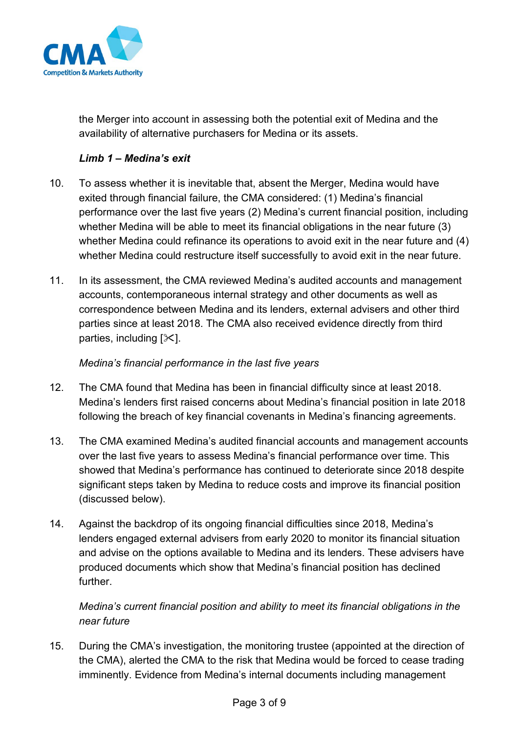

the Merger into account in assessing both the potential exit of Medina and the availability of alternative purchasers for Medina or its assets.

#### *Limb 1 – Medina's exit*

- 10. To assess whether it is inevitable that, absent the Merger, Medina would have exited through financial failure, the CMA considered: (1) Medina's financial performance over the last five years (2) Medina's current financial position, including whether Medina will be able to meet its financial obligations in the near future (3) whether Medina could refinance its operations to avoid exit in the near future and (4) whether Medina could restructure itself successfully to avoid exit in the near future.
- 11. In its assessment, the CMA reviewed Medina's audited accounts and management accounts, contemporaneous internal strategy and other documents as well as correspondence between Medina and its lenders, external advisers and other third parties since at least 2018. The CMA also received evidence directly from third parties, including  $[\times]$ .

#### *Medina's financial performance in the last five years*

- 12. The CMA found that Medina has been in financial difficulty since at least 2018. Medina's lenders first raised concerns about Medina's financial position in late 2018 following the breach of key financial covenants in Medina's financing agreements.
- 13. The CMA examined Medina's audited financial accounts and management accounts over the last five years to assess Medina's financial performance over time. This showed that Medina's performance has continued to deteriorate since 2018 despite significant steps taken by Medina to reduce costs and improve its financial position (discussed below).
- 14. Against the backdrop of its ongoing financial difficulties since 2018, Medina's lenders engaged external advisers from early 2020 to monitor its financial situation and advise on the options available to Medina and its lenders. These advisers have produced documents which show that Medina's financial position has declined further.

*Medina's current financial position and ability to meet its financial obligations in the near future*

15. During the CMA's investigation, the monitoring trustee (appointed at the direction of the CMA), alerted the CMA to the risk that Medina would be forced to cease trading imminently. Evidence from Medina's internal documents including management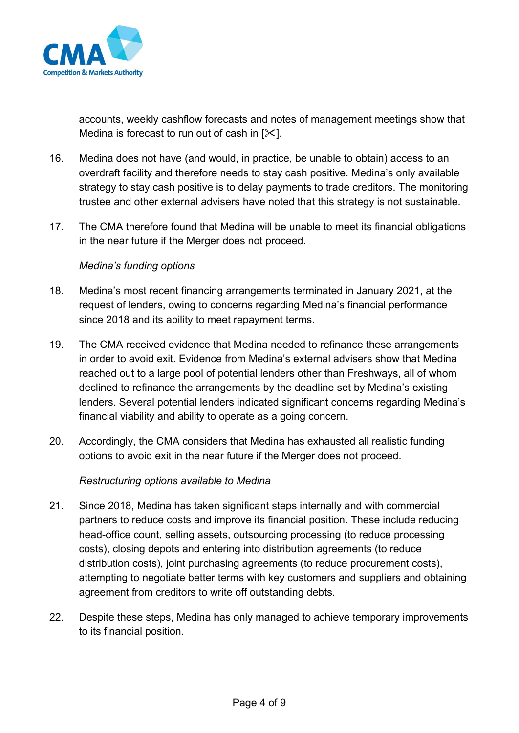

accounts, weekly cashflow forecasts and notes of management meetings show that Medina is forecast to run out of cash in  $[\times]$ .

- 16. Medina does not have (and would, in practice, be unable to obtain) access to an overdraft facility and therefore needs to stay cash positive. Medina's only available strategy to stay cash positive is to delay payments to trade creditors. The monitoring trustee and other external advisers have noted that this strategy is not sustainable.
- 17. The CMA therefore found that Medina will be unable to meet its financial obligations in the near future if the Merger does not proceed.

#### *Medina's funding options*

- 18. Medina's most recent financing arrangements terminated in January 2021, at the request of lenders, owing to concerns regarding Medina's financial performance since 2018 and its ability to meet repayment terms.
- 19. The CMA received evidence that Medina needed to refinance these arrangements in order to avoid exit. Evidence from Medina's external advisers show that Medina reached out to a large pool of potential lenders other than Freshways, all of whom declined to refinance the arrangements by the deadline set by Medina's existing lenders. Several potential lenders indicated significant concerns regarding Medina's financial viability and ability to operate as a going concern.
- 20. Accordingly, the CMA considers that Medina has exhausted all realistic funding options to avoid exit in the near future if the Merger does not proceed.

#### *Restructuring options available to Medina*

- 21. Since 2018, Medina has taken significant steps internally and with commercial partners to reduce costs and improve its financial position. These include reducing head-office count, selling assets, outsourcing processing (to reduce processing costs), closing depots and entering into distribution agreements (to reduce distribution costs), joint purchasing agreements (to reduce procurement costs), attempting to negotiate better terms with key customers and suppliers and obtaining agreement from creditors to write off outstanding debts.
- 22. Despite these steps, Medina has only managed to achieve temporary improvements to its financial position.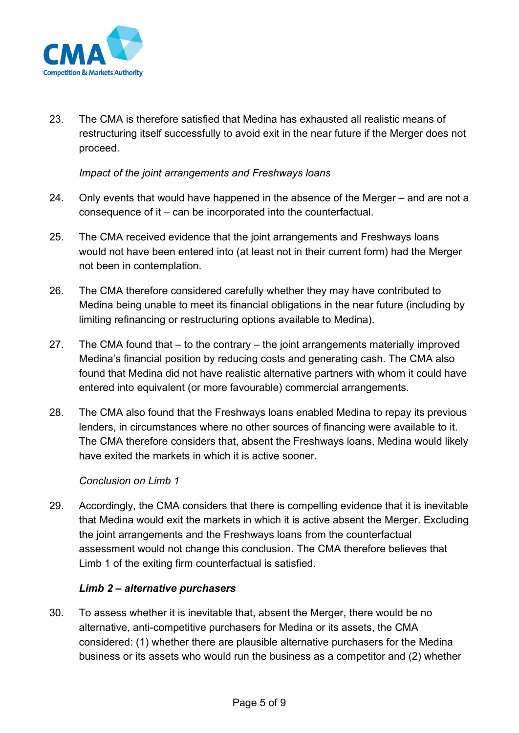

23. The CMA is therefore satisfied that Medina has exhausted all realistic means of restructuring itself successfully to avoid exit in the near future if the Merger does not proceed.

#### *Impact of the joint arrangements and Freshways loans*

- 24. Only events that would have happened in the absence of the Merger and are not a consequence of it – can be incorporated into the counterfactual.
- 25. The CMA received evidence that the joint arrangements and Freshways loans would not have been entered into (at least not in their current form) had the Merger not been in contemplation.
- 26. The CMA therefore considered carefully whether they may have contributed to Medina being unable to meet its financial obligations in the near future (including by limiting refinancing or restructuring options available to Medina).
- 27. The CMA found that to the contrary the joint arrangements materially improved Medina's financial position by reducing costs and generating cash. The CMA also found that Medina did not have realistic alternative partners with whom it could have entered into equivalent (or more favourable) commercial arrangements.
- 28. The CMA also found that the Freshways loans enabled Medina to repay its previous lenders, in circumstances where no other sources of financing were available to it. The CMA therefore considers that, absent the Freshways loans, Medina would likely have exited the markets in which it is active sooner.

#### *Conclusion on Limb 1*

29. Accordingly, the CMA considers that there is compelling evidence that it is inevitable that Medina would exit the markets in which it is active absent the Merger. Excluding the joint arrangements and the Freshways loans from the counterfactual assessment would not change this conclusion. The CMA therefore believes that Limb 1 of the exiting firm counterfactual is satisfied.

#### *Limb 2 – alternative purchasers*

30. To assess whether it is inevitable that, absent the Merger, there would be no alternative, anti-competitive purchasers for Medina or its assets, the CMA considered: (1) whether there are plausible alternative purchasers for the Medina business or its assets who would run the business as a competitor and (2) whether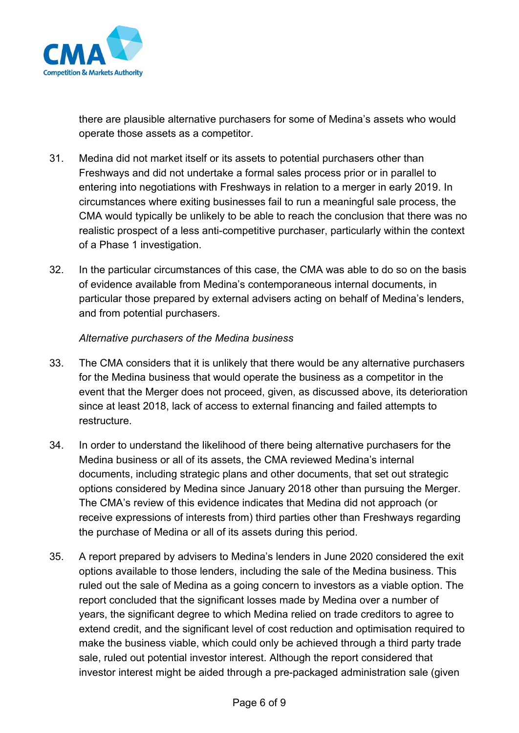

there are plausible alternative purchasers for some of Medina's assets who would operate those assets as a competitor.

- 31. Medina did not market itself or its assets to potential purchasers other than Freshways and did not undertake a formal sales process prior or in parallel to entering into negotiations with Freshways in relation to a merger in early 2019. In circumstances where exiting businesses fail to run a meaningful sale process, the CMA would typically be unlikely to be able to reach the conclusion that there was no realistic prospect of a less anti-competitive purchaser, particularly within the context of a Phase 1 investigation.
- 32. In the particular circumstances of this case, the CMA was able to do so on the basis of evidence available from Medina's contemporaneous internal documents, in particular those prepared by external advisers acting on behalf of Medina's lenders, and from potential purchasers.

#### *Alternative purchasers of the Medina business*

- 33. The CMA considers that it is unlikely that there would be any alternative purchasers for the Medina business that would operate the business as a competitor in the event that the Merger does not proceed, given, as discussed above, its deterioration since at least 2018, lack of access to external financing and failed attempts to restructure.
- 34. In order to understand the likelihood of there being alternative purchasers for the Medina business or all of its assets, the CMA reviewed Medina's internal documents, including strategic plans and other documents, that set out strategic options considered by Medina since January 2018 other than pursuing the Merger. The CMA's review of this evidence indicates that Medina did not approach (or receive expressions of interests from) third parties other than Freshways regarding the purchase of Medina or all of its assets during this period.
- 35. A report prepared by advisers to Medina's lenders in June 2020 considered the exit options available to those lenders, including the sale of the Medina business. This ruled out the sale of Medina as a going concern to investors as a viable option. The report concluded that the significant losses made by Medina over a number of years, the significant degree to which Medina relied on trade creditors to agree to extend credit, and the significant level of cost reduction and optimisation required to make the business viable, which could only be achieved through a third party trade sale, ruled out potential investor interest. Although the report considered that investor interest might be aided through a pre-packaged administration sale (given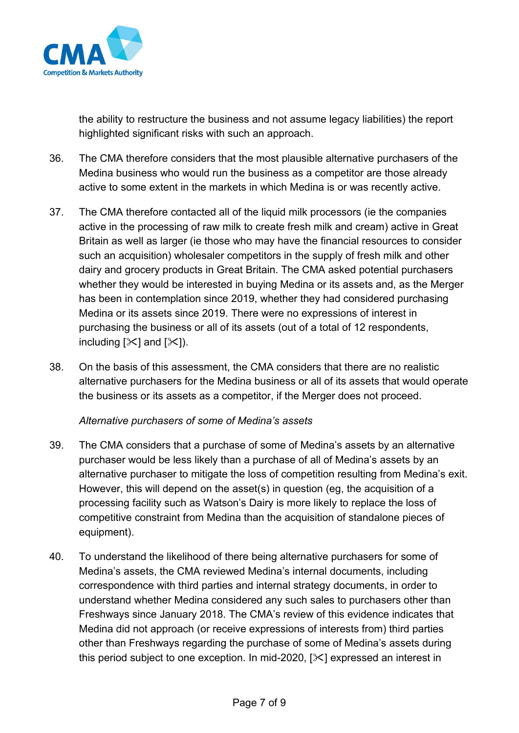

the ability to restructure the business and not assume legacy liabilities) the report highlighted significant risks with such an approach.

- 36. The CMA therefore considers that the most plausible alternative purchasers of the Medina business who would run the business as a competitor are those already active to some extent in the markets in which Medina is or was recently active.
- <span id="page-6-0"></span>37. The CMA therefore contacted all of the liquid milk processors (ie the companies active in the processing of raw milk to create fresh milk and cream) active in Great Britain as well as larger (ie those who may have the financial resources to consider such an acquisition) wholesaler competitors in the supply of fresh milk and other dairy and grocery products in Great Britain. The CMA asked potential purchasers whether they would be interested in buying Medina or its assets and, as the Merger has been in contemplation since 2019, whether they had considered purchasing Medina or its assets since 2019. There were no expressions of interest in purchasing the business or all of its assets (out of a total of 12 respondents, including  $[\times]$  and  $[\times]$ ).
- 38. On the basis of this assessment, the CMA considers that there are no realistic alternative purchasers for the Medina business or all of its assets that would operate the business or its assets as a competitor, if the Merger does not proceed.

#### *Alternative purchasers of some of Medina's assets*

- 39. The CMA considers that a purchase of some of Medina's assets by an alternative purchaser would be less likely than a purchase of all of Medina's assets by an alternative purchaser to mitigate the loss of competition resulting from Medina's exit. However, this will depend on the asset(s) in question (eg, the acquisition of a processing facility such as Watson's Dairy is more likely to replace the loss of competitive constraint from Medina than the acquisition of standalone pieces of equipment).
- 40. To understand the likelihood of there being alternative purchasers for some of Medina's assets, the CMA reviewed Medina's internal documents, including correspondence with third parties and internal strategy documents, in order to understand whether Medina considered any such sales to purchasers other than Freshways since January 2018. The CMA's review of this evidence indicates that Medina did not approach (or receive expressions of interests from) third parties other than Freshways regarding the purchase of some of Medina's assets during this period subject to one exception. In mid-2020,  $[\times]$  expressed an interest in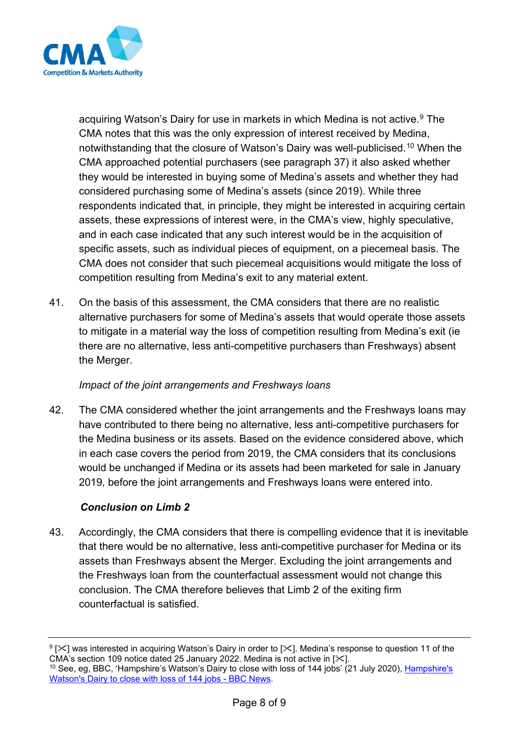

acquiring Watson's Dairy for use in markets in which Medina is not active.<sup>[9](#page-7-0)</sup> The CMA notes that this was the only expression of interest received by Medina, notwithstanding that the closure of Watson's Dairy was well-publicised.[10](#page-7-1) When the CMA approached potential purchasers (see paragraph [37\)](#page-6-0) it also asked whether they would be interested in buying some of Medina's assets and whether they had considered purchasing some of Medina's assets (since 2019). While three respondents indicated that, in principle, they might be interested in acquiring certain assets, these expressions of interest were, in the CMA's view, highly speculative, and in each case indicated that any such interest would be in the acquisition of specific assets, such as individual pieces of equipment, on a piecemeal basis. The CMA does not consider that such piecemeal acquisitions would mitigate the loss of competition resulting from Medina's exit to any material extent.

41. On the basis of this assessment, the CMA considers that there are no realistic alternative purchasers for some of Medina's assets that would operate those assets to mitigate in a material way the loss of competition resulting from Medina's exit (ie there are no alternative, less anti-competitive purchasers than Freshways) absent the Merger.

#### *Impact of the joint arrangements and Freshways loans*

42. The CMA considered whether the joint arrangements and the Freshways loans may have contributed to there being no alternative, less anti-competitive purchasers for the Medina business or its assets. Based on the evidence considered above, which in each case covers the period from 2019, the CMA considers that its conclusions would be unchanged if Medina or its assets had been marketed for sale in January 2019, before the joint arrangements and Freshways loans were entered into.

#### *Conclusion on Limb 2*

43. Accordingly, the CMA considers that there is compelling evidence that it is inevitable that there would be no alternative, less anti-competitive purchaser for Medina or its assets than Freshways absent the Merger. Excluding the joint arrangements and the Freshways loan from the counterfactual assessment would not change this conclusion. The CMA therefore believes that Limb 2 of the exiting firm counterfactual is satisfied.

<span id="page-7-1"></span><span id="page-7-0"></span><sup>&</sup>lt;sup>9</sup> [ $\times$ ] was interested in acquiring Watson's Dairy in order to [ $\times$ ]. Medina's response to question 11 of the CMA's section 109 notice dated 25 January 2022. Medina is not active in  $[\times]$ . <sup>10</sup> See, eg, BBC, '[Hampshire's](https://www.bbc.co.uk/news/uk-england-hampshire-53484162#:%7E:text=A%20dairy%20is%20set%20to,in%20the%20fresh%20milk%20sector.) Watson's Dairy to close with loss of 144 jobs' (21 July 2020), *Hampshire's* [Watson's Dairy to close with loss of 144 jobs - BBC News.](https://www.bbc.co.uk/news/uk-england-hampshire-53484162#:%7E:text=A%20dairy%20is%20set%20to,in%20the%20fresh%20milk%20sector.)